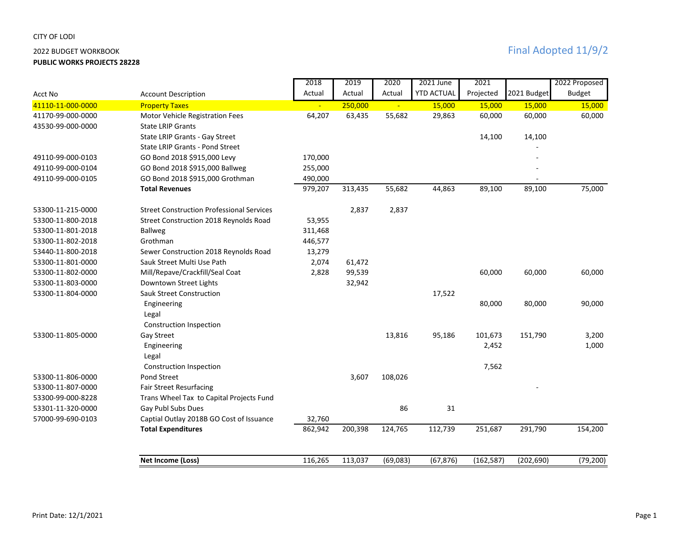## CITY OF LODI

**PUBLIC WORKS PROJECTS 28228**

|                   |                                                  | 2018    | 2019    | 2020     | 2021 June         | 2021       |             | 2022 Proposed |
|-------------------|--------------------------------------------------|---------|---------|----------|-------------------|------------|-------------|---------------|
| Acct No           | <b>Account Description</b>                       | Actual  | Actual  | Actual   | <b>YTD ACTUAL</b> | Projected  | 2021 Budget | <b>Budget</b> |
| 41110-11-000-0000 | <b>Property Taxes</b>                            |         | 250,000 |          | 15,000            | 15,000     | 15,000      | 15,000        |
| 41170-99-000-0000 | Motor Vehicle Registration Fees                  | 64,207  | 63,435  | 55,682   | 29,863            | 60,000     | 60,000      | 60,000        |
| 43530-99-000-0000 | <b>State LRIP Grants</b>                         |         |         |          |                   |            |             |               |
|                   | State LRIP Grants - Gay Street                   |         |         |          |                   | 14,100     | 14,100      |               |
|                   | State LRIP Grants - Pond Street                  |         |         |          |                   |            |             |               |
| 49110-99-000-0103 | GO Bond 2018 \$915,000 Levy                      | 170,000 |         |          |                   |            |             |               |
| 49110-99-000-0104 | GO Bond 2018 \$915,000 Ballweg                   | 255,000 |         |          |                   |            |             |               |
| 49110-99-000-0105 | GO Bond 2018 \$915,000 Grothman                  | 490,000 |         |          |                   |            |             |               |
|                   | <b>Total Revenues</b>                            | 979,207 | 313,435 | 55,682   | 44,863            | 89,100     | 89,100      | 75,000        |
| 53300-11-215-0000 | <b>Street Construction Professional Services</b> |         | 2,837   | 2,837    |                   |            |             |               |
| 53300-11-800-2018 | Street Construction 2018 Reynolds Road           | 53,955  |         |          |                   |            |             |               |
| 53300-11-801-2018 | <b>Ballweg</b>                                   | 311,468 |         |          |                   |            |             |               |
| 53300-11-802-2018 | Grothman                                         | 446,577 |         |          |                   |            |             |               |
| 53440-11-800-2018 | Sewer Construction 2018 Reynolds Road            | 13,279  |         |          |                   |            |             |               |
| 53300-11-801-0000 | Sauk Street Multi Use Path                       | 2,074   | 61,472  |          |                   |            |             |               |
| 53300-11-802-0000 | Mill/Repave/Crackfill/Seal Coat                  | 2,828   | 99,539  |          |                   | 60,000     | 60,000      | 60,000        |
| 53300-11-803-0000 | Downtown Street Lights                           |         | 32,942  |          |                   |            |             |               |
| 53300-11-804-0000 | <b>Sauk Street Construction</b>                  |         |         |          | 17,522            |            |             |               |
|                   | Engineering                                      |         |         |          |                   | 80,000     | 80,000      | 90,000        |
|                   | Legal                                            |         |         |          |                   |            |             |               |
|                   | Construction Inspection                          |         |         |          |                   |            |             |               |
| 53300-11-805-0000 | Gay Street                                       |         |         | 13,816   | 95,186            | 101,673    | 151,790     | 3,200         |
|                   | Engineering                                      |         |         |          |                   | 2,452      |             | 1,000         |
|                   | Legal                                            |         |         |          |                   |            |             |               |
|                   | <b>Construction Inspection</b>                   |         |         |          |                   | 7,562      |             |               |
| 53300-11-806-0000 | Pond Street                                      |         | 3,607   | 108,026  |                   |            |             |               |
| 53300-11-807-0000 | Fair Street Resurfacing                          |         |         |          |                   |            |             |               |
| 53300-99-000-8228 | Trans Wheel Tax to Capital Projects Fund         |         |         |          |                   |            |             |               |
| 53301-11-320-0000 | Gay Publ Subs Dues                               |         |         | 86       | 31                |            |             |               |
| 57000-99-690-0103 | Captial Outlay 2018B GO Cost of Issuance         | 32,760  |         |          |                   |            |             |               |
|                   | <b>Total Expenditures</b>                        | 862,942 | 200,398 | 124,765  | 112,739           | 251,687    | 291,790     | 154,200       |
|                   |                                                  |         |         |          |                   |            |             |               |
|                   | <b>Net Income (Loss)</b>                         | 116,265 | 113,037 | (69,083) | (67, 876)         | (162, 587) | (202, 690)  | (79, 200)     |